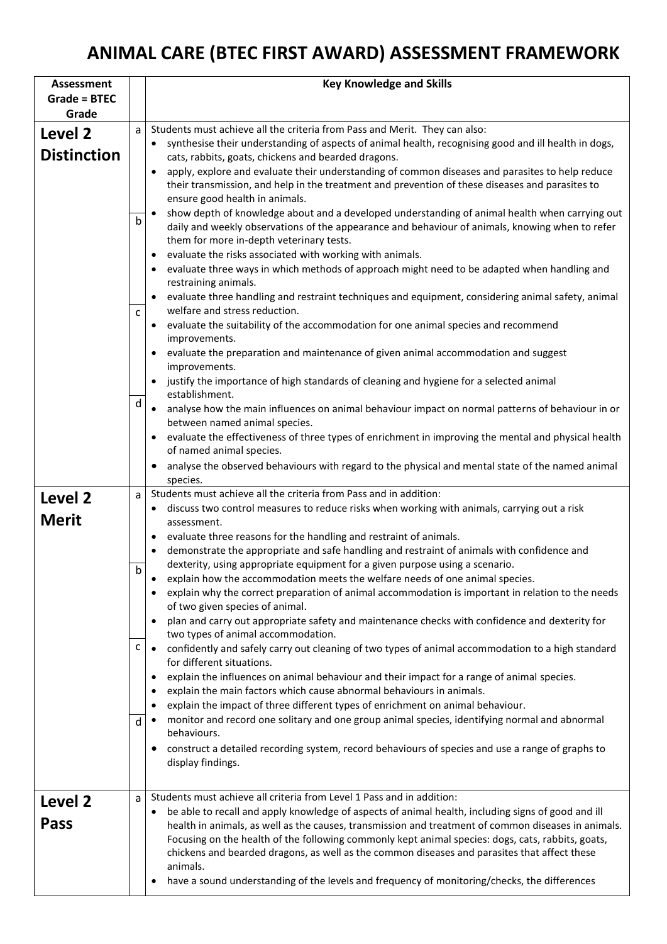## **ANIMAL CARE (BTEC FIRST AWARD) ASSESSMENT FRAMEWORK**

| <b>Assessment</b>   |              | <b>Key Knowledge and Skills</b>                                                                                                                        |
|---------------------|--------------|--------------------------------------------------------------------------------------------------------------------------------------------------------|
| <b>Grade = BTEC</b> |              |                                                                                                                                                        |
| Grade               |              |                                                                                                                                                        |
| Level 2             | a            | Students must achieve all the criteria from Pass and Merit. They can also:                                                                             |
| <b>Distinction</b>  |              | synthesise their understanding of aspects of animal health, recognising good and ill health in dogs,                                                   |
|                     |              | cats, rabbits, goats, chickens and bearded dragons.<br>apply, explore and evaluate their understanding of common diseases and parasites to help reduce |
|                     |              | their transmission, and help in the treatment and prevention of these diseases and parasites to                                                        |
|                     |              | ensure good health in animals.                                                                                                                         |
|                     |              | show depth of knowledge about and a developed understanding of animal health when carrying out                                                         |
|                     | b            | daily and weekly observations of the appearance and behaviour of animals, knowing when to refer                                                        |
|                     |              | them for more in-depth veterinary tests.                                                                                                               |
|                     |              | evaluate the risks associated with working with animals.                                                                                               |
|                     |              | evaluate three ways in which methods of approach might need to be adapted when handling and<br>restraining animals.                                    |
|                     |              | evaluate three handling and restraint techniques and equipment, considering animal safety, animal                                                      |
|                     | $\mathsf{C}$ | welfare and stress reduction.                                                                                                                          |
|                     |              | evaluate the suitability of the accommodation for one animal species and recommend                                                                     |
|                     |              | improvements.                                                                                                                                          |
|                     |              | evaluate the preparation and maintenance of given animal accommodation and suggest                                                                     |
|                     |              | improvements.                                                                                                                                          |
|                     |              | justify the importance of high standards of cleaning and hygiene for a selected animal<br>establishment.                                               |
|                     | d            | • analyse how the main influences on animal behaviour impact on normal patterns of behaviour in or                                                     |
|                     |              | between named animal species.                                                                                                                          |
|                     |              | evaluate the effectiveness of three types of enrichment in improving the mental and physical health                                                    |
|                     |              | of named animal species.                                                                                                                               |
|                     |              | analyse the observed behaviours with regard to the physical and mental state of the named animal                                                       |
|                     |              | species.<br>Students must achieve all the criteria from Pass and in addition:                                                                          |
| Level 2             | a            | discuss two control measures to reduce risks when working with animals, carrying out a risk                                                            |
| <b>Merit</b>        |              | assessment.                                                                                                                                            |
|                     |              | evaluate three reasons for the handling and restraint of animals.                                                                                      |
|                     |              | demonstrate the appropriate and safe handling and restraint of animals with confidence and                                                             |
|                     | b            | dexterity, using appropriate equipment for a given purpose using a scenario.                                                                           |
|                     |              | explain how the accommodation meets the welfare needs of one animal species.                                                                           |
|                     |              | explain why the correct preparation of animal accommodation is important in relation to the needs<br>of two given species of animal.                   |
|                     |              | plan and carry out appropriate safety and maintenance checks with confidence and dexterity for                                                         |
|                     |              | two types of animal accommodation.                                                                                                                     |
|                     | с            | confidently and safely carry out cleaning of two types of animal accommodation to a high standard                                                      |
|                     |              | for different situations.                                                                                                                              |
|                     |              | explain the influences on animal behaviour and their impact for a range of animal species.                                                             |
|                     |              | explain the main factors which cause abnormal behaviours in animals.<br>explain the impact of three different types of enrichment on animal behaviour. |
|                     |              | monitor and record one solitary and one group animal species, identifying normal and abnormal                                                          |
|                     | d            | behaviours.                                                                                                                                            |
|                     |              | construct a detailed recording system, record behaviours of species and use a range of graphs to                                                       |
|                     |              | display findings.                                                                                                                                      |
|                     |              |                                                                                                                                                        |
| Level 2             | a            | Students must achieve all criteria from Level 1 Pass and in addition:                                                                                  |
|                     |              | be able to recall and apply knowledge of aspects of animal health, including signs of good and ill                                                     |
| <b>Pass</b>         |              | health in animals, as well as the causes, transmission and treatment of common diseases in animals.                                                    |
|                     |              | Focusing on the health of the following commonly kept animal species: dogs, cats, rabbits, goats,                                                      |
|                     |              | chickens and bearded dragons, as well as the common diseases and parasites that affect these<br>animals.                                               |
|                     |              | have a sound understanding of the levels and frequency of monitoring/checks, the differences                                                           |
|                     |              |                                                                                                                                                        |